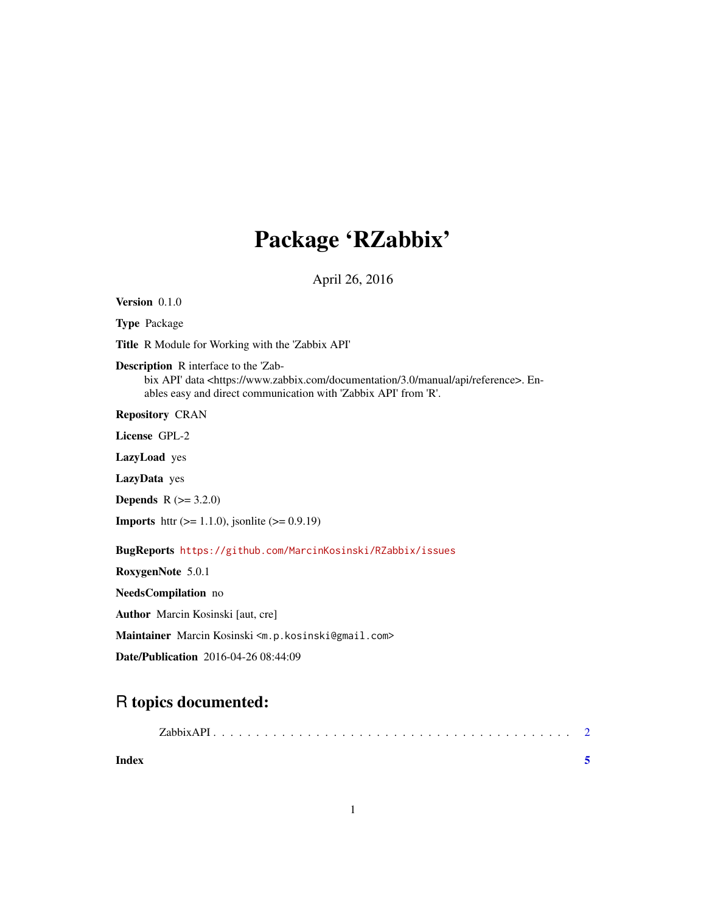## Package 'RZabbix'

April 26, 2016

<span id="page-0-0"></span>Version 0.1.0

Type Package

Title R Module for Working with the 'Zabbix API'

Description R interface to the 'Zab-

bix API' data <https://www.zabbix.com/documentation/3.0/manual/api/reference>. Enables easy and direct communication with 'Zabbix API' from 'R'.

Repository CRAN

License GPL-2

LazyLoad yes

LazyData yes

**Depends** R  $(>= 3.2.0)$ 

**Imports** httr ( $>= 1.1.0$ ), jsonlite ( $>= 0.9.19$ )

BugReports <https://github.com/MarcinKosinski/RZabbix/issues>

RoxygenNote 5.0.1

NeedsCompilation no

Author Marcin Kosinski [aut, cre]

Maintainer Marcin Kosinski <m.p.kosinski@gmail.com>

Date/Publication 2016-04-26 08:44:09

### R topics documented:

| Index |  |  |  |  |  |  |  |  |  |  |  |  |  |  |  |
|-------|--|--|--|--|--|--|--|--|--|--|--|--|--|--|--|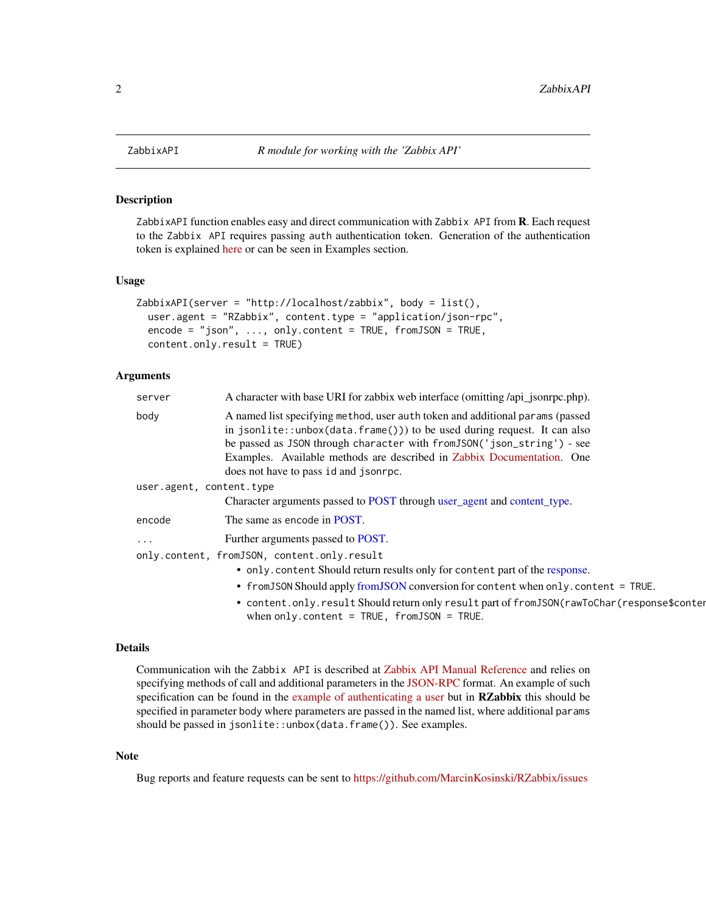<span id="page-1-0"></span>

#### Description

ZabbixAPI function enables easy and direct communication with Zabbix API from **R**. Each request to the Zabbix API requires passing auth authentication token. Generation of the authentication token is explained [here](https://www.zabbix.com/documentation/3.0/manual/api/reference/user/login) or can be seen in Examples section.

#### Usage

```
ZabbixAPI(server = "http://localhost/zabbix", body = list(),
  user.agent = "RZabbix", content.type = "application/json-rpc",
  encode = "json", ..., only content = TRUE, fromJSON = TRUE,content.only.result = TRUE)
```
#### Arguments

| server                   | A character with base URI for zabbix web interface (omitting /api_jsonrpc.php).                                                                                                                                                                                                                                                                                        |  |  |  |  |  |  |
|--------------------------|------------------------------------------------------------------------------------------------------------------------------------------------------------------------------------------------------------------------------------------------------------------------------------------------------------------------------------------------------------------------|--|--|--|--|--|--|
| body                     | A named list specifying method, user auth token and additional params (passed<br>in jsonlite::unbox(data.frame())) to be used during request. It can also<br>be passed as JSON through character with from JSON ('json_string') - see<br>Examples. Available methods are described in Zabbix Documentation. One<br>does not have to pass id and jsonrpc.               |  |  |  |  |  |  |
| user.agent, content.type |                                                                                                                                                                                                                                                                                                                                                                        |  |  |  |  |  |  |
|                          | Character arguments passed to POST through user_agent and content_type.                                                                                                                                                                                                                                                                                                |  |  |  |  |  |  |
| encode                   | The same as encode in POST.                                                                                                                                                                                                                                                                                                                                            |  |  |  |  |  |  |
| $\cdots$                 | Further arguments passed to POST.                                                                                                                                                                                                                                                                                                                                      |  |  |  |  |  |  |
|                          | only.content, fromJSON, content.only.result<br>• only content Should return results only for content part of the response.<br>• from JSON Should apply from JSON conversion for content when only . content = TRUE.<br>• content.only.result Should return only result part of fromJSON(rawToChar(response\$conte<br>when only.content = $TRUE$ , $from JSON = TRUE$ . |  |  |  |  |  |  |

#### Details

Communication wih the Zabbix API is described at [Zabbix API Manual Reference](https://www.zabbix.com/documentation/3.0/manual/api/reference) and relies on specifying methods of call and additional parameters in the [JSON-RPC](http://www.jsonrpc.org/specification) format. An example of such specification can be found in the [example of authenticating a user](https://www.zabbix.com/documentation/3.0/manual/api/reference/user/login#examples) but in RZabbix this should be specified in parameter body where parameters are passed in the named list, where additional params should be passed in jsonlite::unbox(data.frame()). See examples.

#### Note

Bug reports and feature requests can be sent to <https://github.com/MarcinKosinski/RZabbix/issues>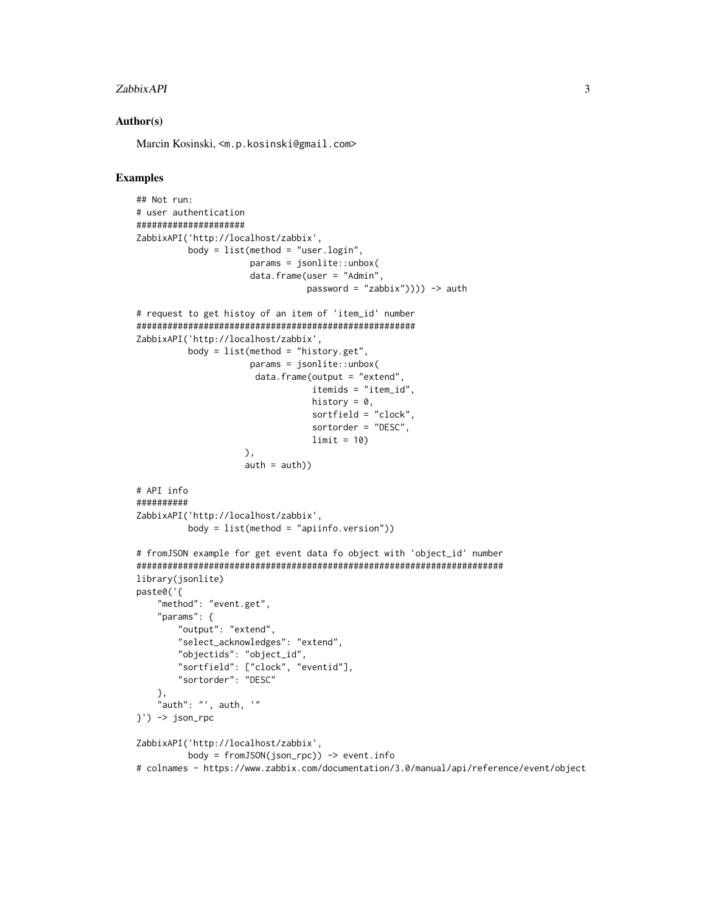#### zabbixAPI 3

#### Author(s)

Marcin Kosinski, <m.p.kosinski@gmail.com>

#### Examples

```
## Not run:
# user authentication
#####################
ZabbixAPI('http://localhost/zabbix',
          body = list(method = "user.login",params = jsonlite::unbox(
                      data.frame(user = "Admin",
                                 password = "zabbix")))) -> auth
# request to get histoy of an item of 'item_id' number
######################################################
ZabbixAPI('http://localhost/zabbix',
          body = list(method = "history.get",
                      params = jsonlite::unbox(
                       data. frame(output = "extend",
                                  itemids = "item_id",
                                  history = 0,
                                  sortfield = "clock",
                                  sortorder = "DESC",
                                  limit = 10),
                     auth = auth)# API info
##########
ZabbixAPI('http://localhost/zabbix',
          body = list(method = "apiinfo.version"))
# fromJSON example for get event data fo object with 'object_id' number
#######################################################################
library(jsonlite)
paste0('{
    "method": "event.get",
    "params": {
       "output": "extend",
       "select_acknowledges": "extend",
       "objectids": "object_id",
       "sortfield": ["clock", "eventid"],
       "sortorder": "DESC"
    },
    "auth": "', auth, '"
}') -> json_rpc
ZabbixAPI('http://localhost/zabbix',
         body = fromJSON(json_rpc)) -> event.info
# colnames - https://www.zabbix.com/documentation/3.0/manual/api/reference/event/object
```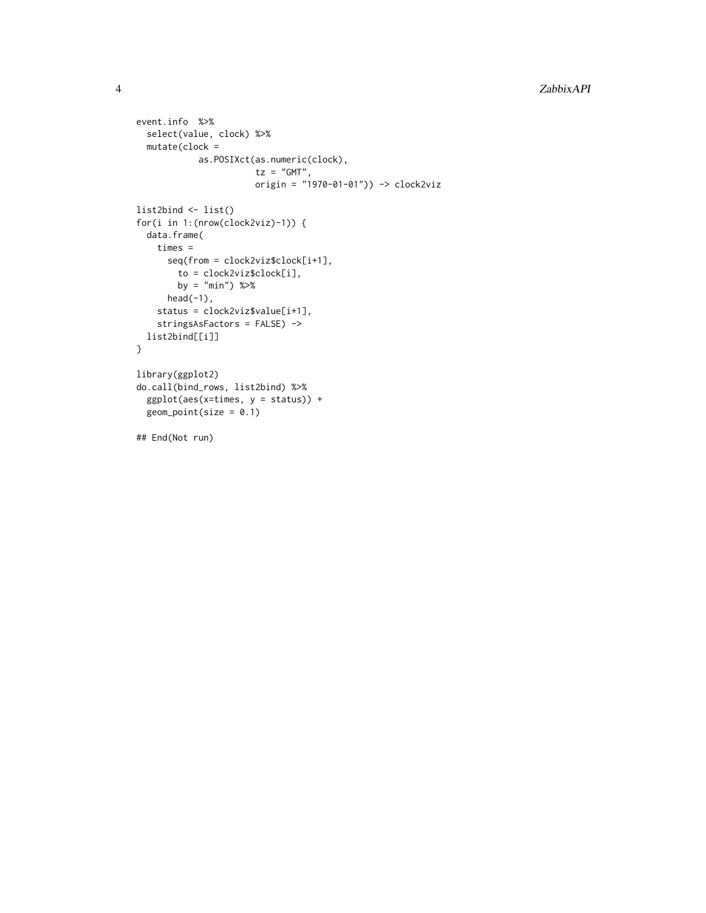```
event.info %>%
  select(value, clock) %>%
 mutate(clock =
           as.POSIXct(as.numeric(clock),
                      tz = "GMT",origin = "1970-01-01")) -> clock2viz
list2bind <- list()
for(i in 1:(nrow(clock2viz)-1)) {
  data.frame(
   times =
      seq(from = clock2viz$clock[i+1],
       to = clock2viz$clock[i],
       by = "min") %>%
     head(-1),
   status = clock2viz$value[i+1],
   stringsAsFactors = FALSE) ->
 list2bind[[i]]
}
library(ggplot2)
do.call(bind_rows, list2bind) %>%
  ggplot(aes(x=times, y = status)) +
  geom\_point(size = 0.1)## End(Not run)
```